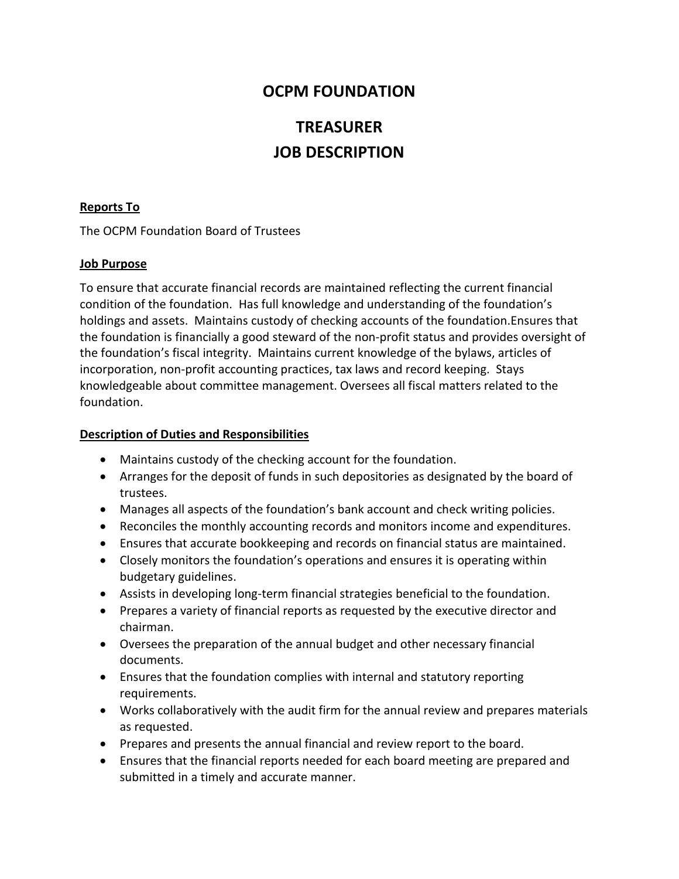## **OCPM FOUNDATION**

# **TREASURER JOB DESCRIPTION**

#### **Reports To**

The OCPM Foundation Board of Trustees

#### **Job Purpose**

To ensure that accurate financial records are maintained reflecting the current financial condition of the foundation. Has full knowledge and understanding of the foundation's holdings and assets. Maintains custody of checking accounts of the foundation.Ensures that the foundation is financially a good steward of the non-profit status and provides oversight of the foundation's fiscal integrity. Maintains current knowledge of the bylaws, articles of incorporation, non-profit accounting practices, tax laws and record keeping. Stays knowledgeable about committee management. Oversees all fiscal matters related to the foundation.

#### **Description of Duties and Responsibilities**

- Maintains custody of the checking account for the foundation.
- Arranges for the deposit of funds in such depositories as designated by the board of trustees.
- Manages all aspects of the foundation's bank account and check writing policies.
- Reconciles the monthly accounting records and monitors income and expenditures.
- Ensures that accurate bookkeeping and records on financial status are maintained.
- Closely monitors the foundation's operations and ensures it is operating within budgetary guidelines.
- Assists in developing long-term financial strategies beneficial to the foundation.
- Prepares a variety of financial reports as requested by the executive director and chairman.
- Oversees the preparation of the annual budget and other necessary financial documents.
- Ensures that the foundation complies with internal and statutory reporting requirements.
- Works collaboratively with the audit firm for the annual review and prepares materials as requested.
- Prepares and presents the annual financial and review report to the board.
- Ensures that the financial reports needed for each board meeting are prepared and submitted in a timely and accurate manner.